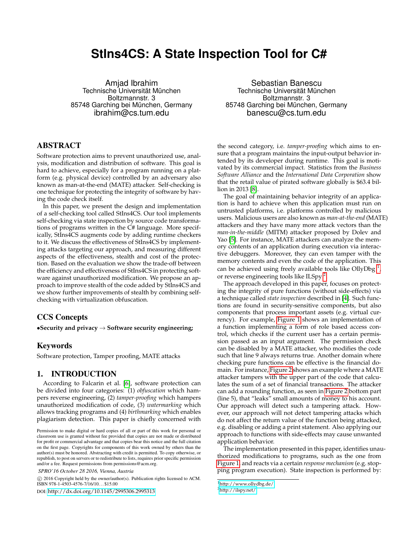# **StIns4CS: A State Inspection Tool for C#**

Amjad Ibrahim Technische Universität München Boltzmannstr. 3 85748 Garching bei München, Germany ibrahim@cs.tum.edu

Sebastian Banescu Technische Universität München Boltzmannstr. 3 85748 Garching bei München, Germany banescu@cs.tum.edu

# ABSTRACT

Software protection aims to prevent unauthorized use, analysis, modification and distribution of software. This goal is hard to achieve, especially for a program running on a platform (e.g. physical device) controlled by an adversary also known as man-at-the-end (MATE) attacker. Self-checking is one technique for protecting the integrity of software by having the code check itself.

In this paper, we present the design and implementation of a self-checking tool called StIns4CS. Our tool implements self-checking via state inspection by source code transformations of programs written in the C# language. More specifically, StIns4CS augments code by adding runtime checkers to it. We discuss the effectiveness of StIns4CS by implementing attacks targeting our approach, and measuring different aspects of the effectiveness, stealth and cost of the protection. Based on the evaluation we show the trade-off between the efficiency and effectiveness of StIns4CS in protecting software against unauthorized modification. We propose an approach to improve stealth of the code added by StIns4CS and we show further improvements of stealth by combining selfchecking with virtualization obfuscation.

# CCS Concepts

•**Security and privacy** → **Software security engineering;**

# Keywords

Software protection, Tamper proofing, MATE attacks

# 1. INTRODUCTION

According to Falcarin et al. [\[6\]](#page-10-0), software protection can be divided into four categories: (1) *obfuscation* which hampers reverse engineering, (2) *tamper-proofing* which hampers unauthorized modification of code, (3) *watermarking* which allows tracking programs and (4) *birthmarking* which enables plagiarism detection. This paper is chiefly concerned with

 c 2016 Copyright held by the owner/author(s). Publication rights licensed to ACM. ISBN 978-1-4503-4576-7/16/10. . . \$15.00

DOI: <http://dx.doi.org/10.1145/2995306.2995313>

the second category, i.e. *tamper-proofing* which aims to ensure that a program maintains the input-output behavior intended by its developer during runtime. This goal is motivated by its commercial impact. Statistics from the *Business Software Alliance* and the *International Data Corporation* show that the retail value of pirated software globally is \$63.4 billion in 2013 [\[8\]](#page-10-1).

The goal of maintaining behavior integrity of an application is hard to achieve when this application must run on untrusted platforms, i.e. platforms controlled by malicious users. Malicious users are also known as *man-at-the-end* (MATE) attackers and they have many more attack vectors than the *man-in-the-middle* (MITM) attacker proposed by Dolev and Yao [\[5\]](#page-10-2). For instance, MATE attackers can analyze the memory contents of an application during execution via interactive debuggers. Moreover, they can even tamper with the memory contents and even the code of the application. This can be achieved using freely available tools like OllyDbg<sup>[1](#page-0-0)</sup>, or reverse engineering tools like ILSpy<sup>[2](#page-0-1)</sup>.

The approach developed in this paper, focuses on protecting the integrity of pure functions (without side-effects) via a technique called *state inspection* described in [\[4\]](#page-10-3). Such functions are found in security-sensitive components, but also components that process important assets (e.g. virtual currency). For example, [Figure 1](#page-1-0) shows an implementation of a function implementing a form of role based access control, which checks if the current user has a certain permission passed as an input argument. The permission check can be disabled by a MATE attacker, who modifies the code such that line 9 always returns true. Another domain where checking pure functions can be effective is the financial domain. For instance, [Figure 2](#page-1-1) shows an example where a MATE attacker tampers with the upper part of the code that calculates the sum of a set of financial transactions. The attacker can add a rounding function, as seen in [Figure 2](#page-1-1) bottom part (line 5), that "leaks" small amounts of money to his account. Our approach will detect such a tampering attack. However, our approach will not detect tampering attacks which do not affect the return value of the function being attacked, e.g. disabling or adding a print statement. Also applying our approach to functions with side-effects may cause unwanted application behavior.

The implementation presented in this paper, identifies unauthorized modifications to programs, such as the one from [Figure 1,](#page-1-0) and reacts via a certain *response mechanism* (e.g. stopping program execution). State inspection is performed by:

Permission to make digital or hard copies of all or part of this work for personal or classroom use is granted without fee provided that copies are not made or distributed for profit or commercial advantage and that copies bear this notice and the full citation on the first page. Copyrights for components of this work owned by others than the author(s) must be honored. Abstracting with credit is permitted. To copy otherwise, or republish, to post on servers or to redistribute to lists, requires prior specific permission and/or a fee. Request permissions from permissions@acm.org.

*SPRO'16 October 28 2016, Vienna, Austria*

<span id="page-0-0"></span><sup>1</sup><http://www.ollydbg.de/>

<span id="page-0-1"></span><sup>2</sup><http://ilspy.net/>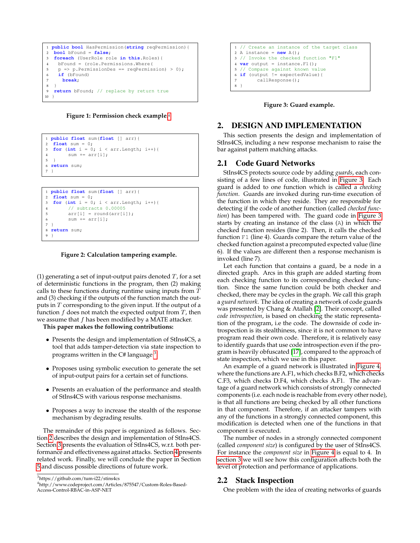

<span id="page-1-0"></span>**Figure 1: Permission check example.**[4](#page-1-2)

```
1 public float sum(float [] arr){
2 float sum = 0;
3 for (int i = 0; i < \arctan 1 ength; i + 1}
4 sum += \arr[i];5 }
6 return sum;
7 }
```

```
1 public float sum(float [] arr){
2 float sum = 0;<br>3 for (int i = 0)
  for (int i = 0; i < arr.Length; i++){
4 \frac{1}{5} // subtracts 0.00005<br>5 \arfi = \text{round}(\arfi)arr[i] = round(arr[i]);
6 sum + = arr[i];7 }
8 return sum;
9 }
```
<span id="page-1-1"></span>**Figure 2: Calculation tampering example.**

(1) generating a set of input-output pairs denoted  $T$ , for a set of deterministic functions in the program, then (2) making calls to these functions during runtime using inputs from  $T$ and (3) checking if the outputs of the function match the outputs in  $T$  corresponding to the given input. If the output of a function  $f$  does not match the expected output from  $T$ , then we assume that  $f$  has been modified by a MATE attacker.

#### **This paper makes the following contributions:**

- Presents the design and implementation of StIns4CS, a tool that adds tamper-detection via state inspection to programs written in the C# language  $^3$  $^3$ .
- Proposes using symbolic execution to generate the set of input-output pairs for a certain set of functions.
- Presents an evaluation of the performance and stealth of StIns4CS with various response mechanisms.
- Proposes a way to increase the stealth of the response mechanism by degrading results.

The remainder of this paper is organized as follows. Section [2](#page-1-4) describes the design and implementation of StIns4CS. Section [3](#page-4-0) presents the evaluation of StIns4CS, w.r.t. both performance and effectiveness against attacks. Section [4](#page-8-0) presents related work. Finally, we will conclude the paper in Section [5](#page-9-0) and discuss possible directions of future work.

```
3https://github.com/tum-i22/stins4cs
```
<span id="page-1-2"></span><sup>4</sup>http://www.codeproject.com/Articles/875547/Custom-Roles-Based-Access-Control-RBAC-in-ASP-NET



<span id="page-1-5"></span>**Figure 3: Guard example.**

# <span id="page-1-4"></span>2. DESIGN AND IMPLEMENTATION

This section presents the design and implementation of StIns4CS, including a new response mechanism to raise the bar against pattern matching attacks.

# 2.1 Code Guard Networks

StIns4CS protects source code by adding *guards*, each consisting of a few lines of code, illustrated in [Figure 3.](#page-1-5) Each guard is added to one function which is called a *checking function*. Guards are invoked during run-time execution of the function in which they reside. They are responsible for detecting if the code of another function (called *checked function*) has been tampered with. The guard code in [Figure 3](#page-1-5) starts by creating an instance of the class (A) in which the checked function resides (line 2). Then, it calls the checked function F1 (line 4). Guards compare the return value of the checked function against a precomputed expected value (line 6). If the values are different then a response mechanism is invoked (line 7).

Let each function that contains a guard, be a node in a directed graph. Arcs in this graph are added starting from each checking function to its corresponding checked function. Since the same function could be both checker and checked, there may be cycles in the graph. We call this graph a *guard network*. The idea of creating a network of code guards was presented by Chang & Atallah [\[2\]](#page-10-4). Their concept, called *code introspection*, is based on checking the static representation of the program, i.e the code. The downside of code introspection is its stealthiness, since it is not common to have program read their own code. Therefore, it is relatively easy to identify guards that use code introspection even if the program is heavily obfuscated [\[17\]](#page-10-5), compared to the approach of state inspection, which we use in this paper.

An example of a guard network is illustrated in [Figure 4,](#page-2-0) where the functions are A.F1, which checks B.F2, which checks C.F3, which checks D.F4, which checks A.F1. The advantage of a guard network which consists of strongly connected components (i.e. each node is reachable from every other node), is that all functions are being checked by all other functions in that component. Therefore, if an attacker tampers with any of the functions in a strongly connected component, this modification is detected when one of the functions in that component is executed.

The number of nodes in a strongly connected component (called *component size*) is configured by the user of StIns4CS. For instance the *component size* in [Figure 4](#page-2-0) is equal to 4. In [section 3](#page-4-0) we will see how this configuration affects both the level of protection and performance of applications.

#### <span id="page-1-6"></span>2.2 Stack Inspection

One problem with the idea of creating networks of guards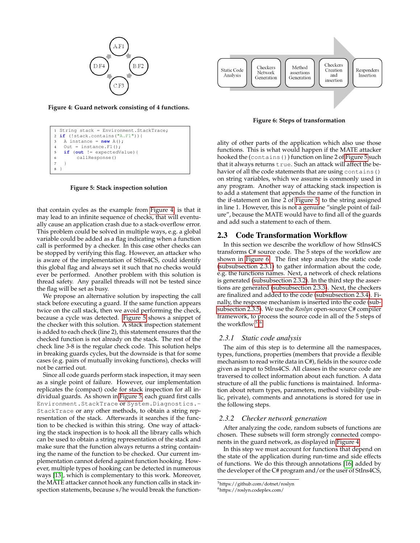

<span id="page-2-0"></span>**Figure 4: Guard network consisting of 4 functions.**

```
1 String stack = Environment.StackTrace;
2 if (!stack.contains("A.F1")){
3 A instance = new A();
4 Out = instance.F1();
5 if (out != expectedValue){
6 callResponse()
\begin{array}{c} 7 \\ 8 \end{array}\overline{ }
```
<span id="page-2-1"></span>**Figure 5: Stack inspection solution**

that contain cycles as the example from [Figure 4,](#page-2-0) is that it may lead to an infinite sequence of checks, that will eventually cause an application crash due to a stack-overflow error. This problem could be solved in multiple ways, e.g. a global variable could be added as a flag indicating when a function call is performed by a checker. In this case other checks can be stopped by verifying this flag. However, an attacker who is aware of the implementation of StIns4CS, could identify this global flag and always set it such that no checks would ever be performed. Another problem with this solution is thread safety. Any parallel threads will not be tested since the flag will be set as busy.

We propose an alternative solution by inspecting the call stack before executing a guard. If the same function appears twice on the call stack, then we avoid performing the check, because a cycle was detected. [Figure 5](#page-2-1) shows a snippet of the checker with this solution. A stack inspection statement is added to each check (line 2), this statement ensures that the checked function is not already on the stack. The rest of the check line 3-8 is the regular check code. This solution helps in breaking guards cycles, but the downside is that for some cases (e.g. pairs of mutually invoking functions), checks will not be carried out.

Since all code guards perform stack inspection, it may seen as a single point of failure. However, our implementation replicates the (compact) code for stack inspection for all individual guards. As shown in [Figure 5,](#page-2-1) each guard first calls Environment.StackTrace or System.Diagnostics.- StackTrace or any other methods, to obtain a string representation of the stack. Afterwards it searches if the function to be checked is within this string. One way of attacking the stack inspection is to hook all the library calls which can be used to obtain a string representation of the stack and make sure that the function always returns a string containing the name of the function to be checked. Our current implementation cannot defend against function hooking. However, multiple types of hooking can be detected in numerous ways [\[13\]](#page-10-6), which is complementary to this work. Moreover, the MATE attacker cannot hook any function calls in stack inspection statements, because s/he would break the function-



<span id="page-2-2"></span>**Figure 6: Steps of transformation**

ality of other parts of the application which also use those functions. This is what would happen if the MATE attacker hooked the (contains()) function on line 2 of [Figure 5](#page-2-1) such that it always returns true. Such an attack will affect the behavior of all the code statements that are using contains () on string variables, which we assume is commonly used in any program. Another way of attacking stack inspection is to add a statement that appends the name of the function in the if-statement on line 2 of [Figure 5,](#page-2-1) to the string assigned in line 1. However, this is not a genuine "single point of failure", because the MATE would have to find all of the guards and add such a statement to each of them.

## 2.3 Code Transformation Workflow

In this section we describe the workflow of how StIns4CS transforms C# source code. The 5 steps of the workflow are shown in [Figure 6.](#page-2-2) The first step analyzes the static code [\(subsubsection 2.3.1\)](#page-2-3) to gather information about the code, e.g. the functions names. Next, a network of check relations is generated [\(subsubsection 2.3.2\)](#page-2-4). In the third step the assertions are generated [\(subsubsection 2.3.3\)](#page-3-0). Next, the checkers are finalized and added to the code [\(subsubsection 2.3.4\)](#page-3-1). Finally, the response mechanism is inserted into the code [\(sub](#page-3-2)[subsection 2.3.5\)](#page-3-2). We use the *Roslyn* open-source C# compiler framework, to process the source code in all of the 5 steps of the workflow  $5,6$  $5,6$  $5,6$ .

#### <span id="page-2-3"></span>*2.3.1 Static code analysis*

The aim of this step is to determine all the namespaces, types, functions, properties (members that provide a flexible mechanism to read write data in C#), fields in the source code given as input to StIns4CS. All classes in the source code are traversed to collect information about each function. A data structure of all the public functions is maintained. Information about return types, parameters, method visibility (public, private), comments and annotations is stored for use in the following steps.

## <span id="page-2-4"></span>*2.3.2 Checker network generation*

After analyzing the code, random subsets of functions are chosen. These subsets will form strongly connected components in the guard network, as displayed in [Figure 4.](#page-2-0)

In this step we must account for functions that depend on the state of the application during run-time and side effects of functions. We do this through annotations [\[16\]](#page-10-7) added by the developer of the C# program and/or the user of StIns4CS,

<span id="page-2-5"></span><sup>5</sup>https://github.com/dotnet/roslyn

<span id="page-2-6"></span><sup>6</sup>https://roslyn.codeplex.com/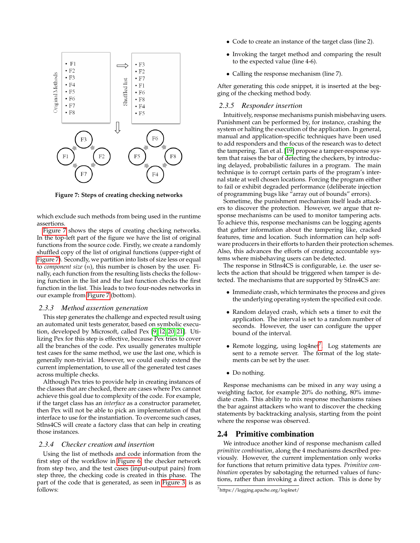

<span id="page-3-3"></span>**Figure 7: Steps of creating checking networks**

which exclude such methods from being used in the runtime assertions.

[Figure 7](#page-3-3) shows the steps of creating checking networks. In the top-left part of the figure we have the list of original functions from the source code. Firstly, we create a randomly shuffled copy of the list of original functions (upper-right of [Figure 7\)](#page-3-3). Secondly, we partition into lists of size less or equal to *component size* (n), this number is chosen by the user. Finally, each function from the resulting lists checks the following function in the list and the last function checks the first function in the list. This leads to two four-nodes networks in our example from [Figure 7](#page-3-3) (bottom).

## <span id="page-3-0"></span>*2.3.3 Method assertion generation*

This step generates the challenge and expected result using an automated unit tests generator, based on symbolic execution, developed by Microsoft, called Pex [\[9,](#page-10-8) [12,](#page-10-9) [20,](#page-10-10) [21\]](#page-10-11). Utilizing Pex for this step is effective, because Pex tries to cover all the branches of the code. Pex usually generates multiple test cases for the same method, we use the last one, which is generally non-trivial. However, we could easily extend the current implementation, to use all of the generated test cases across multiple checks.

Although Pex tries to provide help in creating instances of the classes that are checked, there are cases where Pex cannot achieve this goal due to complexity of the code. For example, if the target class has an *interface* as a constructor parameter, then Pex will not be able to pick an implementation of that interface to use for the instantiation. To overcome such cases, StIns4CS will create a factory class that can help in creating those instances.

#### <span id="page-3-1"></span>*2.3.4 Checker creation and insertion*

Using the list of methods and code information from the first step of the workflow in [Figure 6,](#page-2-2) the checker network from step two, and the test cases (input-output pairs) from step three, the checking code is created in this phase. The part of the code that is generated, as seen in [Figure 3,](#page-1-5) is as follows:

- Code to create an instance of the target class (line 2).
- Invoking the target method and comparing the result to the expected value (line 4-6).
- Calling the response mechanism (line 7).

After generating this code snippet, it is inserted at the begging of the checking method body.

#### <span id="page-3-2"></span>*2.3.5 Responder insertion*

Intuitively, response mechanisms punish misbehaving users. Punishment can be performed by, for instance, crashing the system or halting the execution of the application. In general, manual and application-specific techniques have been used to add responders and the focus of the research was to detect the tampering. Tan et al. [\[19\]](#page-10-12) propose a tamper-response system that raises the bar of detecting the checkers, by introducing delayed, probabilistic failures in a program. The main technique is to corrupt certain parts of the program's internal state at well chosen locations. Forcing the program either to fail or exhibit degraded performance (deliberate injection of programming bugs like "array out of bounds" errors).

Sometime, the punishment mechanism itself leads attackers to discover the protection. However, we argue that response mechanisms can be used to monitor tampering acts. To achieve this, response mechanisms can be logging agents that gather information about the tampering like, cracked features, time and location. Such information can help software producers in their efforts to harden their protection schemes. Also, this advances the efforts of creating accountable systems where misbehaving users can be detected.

The response in StIns4CS is configurable, i.e. the user selects the action that should be triggered when tamper is detected. The mechanisms that are supported by StIns4CS are:

- Immediate crash, which terminates the process and gives the underlying operating system the specified exit code.
- Random delayed crash, which sets a timer to exit the application. The interval is set to a random number of seconds. However, the user can configure the upper bound of the interval.
- Remote logging, using  $log4net^7$  $log4net^7$ . Log statements are sent to a remote server. The format of the log statements can be set by the user.
- Do nothing.

Response mechanisms can be mixed in any way using a weighting factor, for example 20% do nothing, 80% immediate crash. This ability to mix response mechanisms raises the bar against attackers who want to discover the checking statements by backtracking analysis, starting from the point where the response was observed.

## 2.4 Primitive combination

We introduce another kind of response mechanism called *primitive combination*, along the 4 mechanisms described previously. However, the current implementation only works for functions that return primitive data types. *Primitive combination* operates by sabotaging the returned values of functions, rather than invoking a direct action. This is done by

<span id="page-3-4"></span><sup>7</sup>https://logging.apache.org/log4net/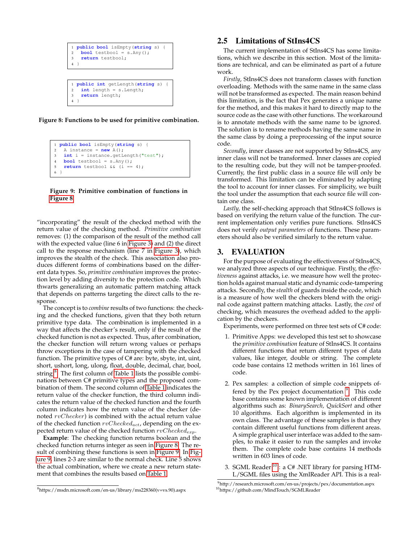

<span id="page-4-1"></span>**Figure 8: Functions to be used for primitive combination.**

```
1 public bool isEmpty(string s) {
    A instance = new A();
3 int i = instance.getLength("test");<br>4 bool testbool = s.Anv();
    bool testbool = s.Any();
5 return testbool && (i == 4);
6 }
```
<span id="page-4-3"></span>**Figure 9: Primitive combination of functions in [Figure 8.](#page-4-1)**

"incorporating" the result of the checked method with the return value of the checking method. *Primitive combination* removes: (1) the comparison of the result of the method call with the expected value (line 6 in [Figure 3\)](#page-1-5) and (2) the direct call to the response mechanism (line 7 in [Figure 3\)](#page-1-5), which improves the stealth of the check. This association also produces different forms of combinations based on the different data types. So, *primitive combination* improves the protection level by adding diversity to the protection code. Which thwarts generalizing an automatic pattern matching attack that depends on patterns targeting the direct calls to the response.

The concept is to *combine* results of two functions: the checking and the checked functions, given that they both return primitive type data. The combination is implemented in a way that affects the checker's result, only if the result of the checked function is not as expected. Thus, after combination, the checker function will return wrong values or perhaps throw exceptions in the case of tampering with the checked function. The primitive types of C# are: byte, sbyte, int, uint, short, ushort, long, ulong, float, double, decimal, char, bool, string <sup>[8](#page-4-2)</sup>. The first column of [Table 1](#page-5-0) lists the possible combinations between C# primitive types and the proposed combination of them. The second column of [Table 1](#page-5-0) indicates the return value of the checker function, the third column indicates the return value of the checked function and the fourth column indicates how the return value of the checker (denoted rvChecker) is combined with the actual return value of the checked function  $rvChecked_{act}$ , depending on the expected return value of the checked function  $rvChecked_{exp}$ .

**Example**: The checking function returns boolean and the checked function returns integer as seen in [Figure 8.](#page-4-1) The result of combining these functions is seen in [Figure 9.](#page-4-3) In [Fig](#page-4-3)[ure 9,](#page-4-3) lines 2-3 are similar to the normal check. Line 5 shows the actual combination, where we create a new return statement that combines the results based on [Table 1.](#page-5-0)

# 2.5 Limitations of StIns4CS

The current implementation of StIns4CS has some limitations, which we describe in this section. Most of the limitations are technical, and can be eliminated as part of a future work.

*Firstly*, StIns4CS does not transform classes with function overloading. Methods with the same name in the same class will not be transformed as expected. The main reason behind this limitation, is the fact that Pex generates a unique name for the method, and this makes it hard to directly map to the source code as the case with other functions. The workaround is to annotate methods with the same name to be ignored. The solution is to rename methods having the same name in the same class by doing a preprocessing of the input source code.

*Secondly*, inner classes are not supported by StIns4CS, any inner class will not be transformed. Inner classes are copied to the resulting code, but they will not be tamper-proofed. Currently, the first public class in a source file will only be transformed. This limitation can be eliminated by adapting the tool to account for inner classes. For simplicity, we built the tool under the assumption that each source file will contain one class.

*Lastly,* the self-checking approach that StIns4CS follows is based on verifying the return value of the function. The current implementation only verifies pure functions. StIns4CS does not verify *output parameters* of functions. These parameters should also be verified similarly to the return value.

# <span id="page-4-0"></span>3. EVALUATION

For the purpose of evaluating the effectiveness of StIns4CS, we analyzed three aspects of our technique. Firstly, the *effectiveness* against attacks, i.e. we measure how well the protection holds against manual static and dynamic code-tampering attacks. Secondly, the *stealth* of guards inside the code, which is a measure of how well the checkers blend with the original code against pattern matching attacks. Lastly, the *cost* of checking, which measures the overhead added to the application by the checkers.

Experiments, were performed on three test sets of C# code:

- 1. Primitive Apps: we developed this test set to showcase the *primitive combination* feature of StIns4CS. It contains different functions that return different types of data values, like integer, double or string. The complete code base contains 12 methods written in 161 lines of code.
- 2. Pex samples: a collection of simple code snippets of-fered by the Pex project documentation <sup>[9](#page-4-4)</sup>. This code base contains some known implementation of different algorithms such as: *BinarySearch, QuickSort* and other 10 algorithms. Each algorithm is implemented in its own class. The advantage of these samples is that they contain different useful functions from different areas. A simple graphical user interface was added to the samples, to make it easier to run the samples and invoke them. The complete code base contains 14 methods written in 603 lines of code.
- 3. SGML Reader  $10$  : a C# .NET library for parsing HTM-L/SGML files using the XmlReader API. This is a real-

<span id="page-4-2"></span><sup>8</sup>https://msdn.microsoft.com/en-us/library/ms228360(v=vs.90).aspx

<span id="page-4-5"></span><span id="page-4-4"></span><sup>9</sup>http://research.microsoft.com/en-us/projects/pex/documentation.aspx <sup>10</sup>https://github.com/MindTouch/SGMLReader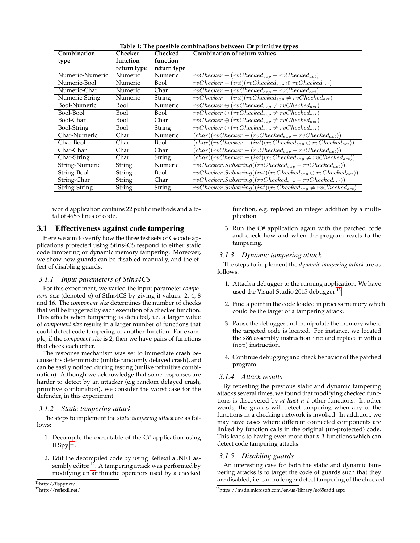| Combination        | Checker       | Checked       | Combination of return values                                                    |  |
|--------------------|---------------|---------------|---------------------------------------------------------------------------------|--|
| type               | function      | function      |                                                                                 |  |
|                    | return type   | return type   |                                                                                 |  |
| Numeric-Numeric    | Numeric       | Numeric       | $\overline{rvChecker + (rvChecked_{exp} - rvChecked_{act})}$                    |  |
| Numeric-Bool       | Numeric       | Bool          | $\overline{rvChecker + (int)(rvChecked_{exp} \oplus rvChecked_{act})}$          |  |
| Numeric-Char       | Numeric       | Char          | $\overline{rvChecker + (rvChecked_{exp} - rvChecked_{act})}$                    |  |
| Numeric-String     | Numeric       | <b>String</b> | $rvChecker + (int)(rvChecked_{exp} \neq rvChecked_{act})$                       |  |
| Bool-Numeric       | Bool          | Numeric       | $rvChecker \oplus (rvChecked_{exp} \neq rvChecked_{act})$                       |  |
| Bool-Bool          | Bool          | Bool          | $rvChecker \oplus (rvChecked_{exp} \neq rvChecked_{act})$                       |  |
| Bool-Char          | Bool          | Char          | $rvChecker \oplus (rvChecked_{exp} \neq rvChecked_{act})$                       |  |
| <b>Bool-String</b> | Bool          | <b>String</b> | $\overline{rvChecker \oplus (rvChecked_{exp} \neq rvChecked_{act})}$            |  |
| Char-Numeric       | Char          | Numeric       | $(char)(rvChecker + (rvChecked_{exp} - rvChecked_{act}))$                       |  |
| Char-Bool          | Char          | Bool          | $\overline{(char)(rvChecker + (int)(rvChecked_{exp} \oplus rvChecked_{act}))}$  |  |
| Char-Char          | Char          | Char          | $\sqrt{[char)(rvChecker + (rvChecked_{exp} - rvChecked_{act}))}$                |  |
| Char-String        | Char          | String        | $(char)(rvChecker + (int)(rvChecked_{exp} \neq rvChecked_{act}))$               |  |
| String-Numeric     | <b>String</b> | Numeric       | $\overline{rvChecker.Substring((rvChecked_{exp} - rvChecked_{act}))}$           |  |
| String-Bool        | String        | Bool          | $\overline{rvChecker.Substring((int)(rvChecked_{exp} \oplus rvChecked_{act}))}$ |  |
| String-Char        | String        | Char          | $\overline{rvChecker.Substring((rvChecked_{exp} - rvChecked_{act}))}$           |  |
| String-String      | String        | <b>String</b> | $rvChecker. Substring((int)(rvChecked_{exp} \neq rvChecked_{act})$              |  |

<span id="page-5-0"></span>**Table 1: The possible combinations between C# primitive types**

world application contains 22 public methods and a total of 4953 lines of code.

# 3.1 Effectiveness against code tampering

Here we aim to verify how the three test sets of C# code applications protected using StIns4CS respond to either static code tampering or dynamic memory tampering. Moreover, we show how guards can be disabled manually, and the effect of disabling guards.

# *3.1.1 Input parameters of StIns4CS*

For this experiment, we varied the input parameter *component size* (denoted *n*) of StIns4CS by giving it values: 2, 4, 8 and 16. The *component size* determines the number of checks that will be triggered by each execution of a checker function. This affects when tampering is detected, i.e. a larger value of *component size* results in a larger number of functions that could detect code tampering of another function. For example, if the *component size* is 2, then we have pairs of functions that check each other.

The response mechanism was set to immediate crash because it is deterministic (unlike randomly delayed crash), and can be easily noticed during testing (unlike primitive combination). Although we acknowledge that some responses are harder to detect by an attacker (e.g random delayed crash, primitive combination), we consider the worst case for the defender, in this experiment.

#### <span id="page-5-4"></span>*3.1.2 Static tampering attack*

The steps to implement the *static tampering attack* are as follows:

- 1. Decompile the executable of the C# application using  ${\rm I}$ LSpy  $^{11}.$  $^{11}.$  $^{11}.$
- 2. Edit the decompiled code by using Reflexil a .NET assembly editor  $12$ . A tampering attack was performed by modifying an arithmetic operators used by a checked

function, e.g. replaced an integer addition by a multiplication.

3. Run the C# application again with the patched code and check how and when the program reacts to the tampering.

## <span id="page-5-5"></span>*3.1.3 Dynamic tampering attack*

The steps to implement the *dynamic tampering attack* are as follows:

- 1. Attach a debugger to the running application. We have used the Visual Studio 2015 debugger <sup>[13](#page-5-3)</sup>.
- 2. Find a point in the code loaded in process memory which could be the target of a tampering attack.
- 3. Pause the debugger and manipulate the memory where the targeted code is located. For instance, we located the x86 assembly instruction inc and replace it with a (nop) instruction.
- 4. Continue debugging and check behavior of the patched program.

#### *3.1.4 Attack results*

By repeating the previous static and dynamic tampering attacks several times, we found that modifying checked functions is discovered by *at least n-1* other functions. In other words, the guards will detect tampering when any of the functions in a checking network is invoked. In addition, we may have cases where different connected components are linked by function calls in the original (un-protected) code. This leads to having even more that *n-1* functions which can detect code tampering attacks.

# *3.1.5 Disabling guards*

An interesting case for both the static and dynamic tampering attacks is to target the code of guards such that they are disabled, i.e. can no longer detect tampering of the checked

<span id="page-5-1"></span><sup>11</sup>http://ilspy.net/

<span id="page-5-2"></span><sup>12</sup>http://reflexil.net/

<span id="page-5-3"></span><sup>13</sup>https://msdn.microsoft.com/en-us/library/sc65sadd.aspx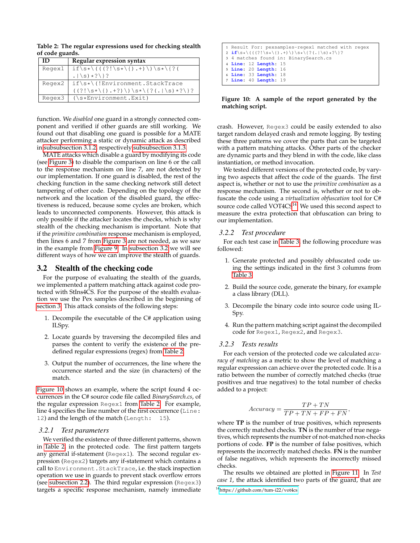<span id="page-6-1"></span>**Table 2: The regular expressions used for checking stealth of code guards.**

| ID     | Regular expression syntax                           |
|--------|-----------------------------------------------------|
| Regex1 | $if\s\star\($ ((?!\s*\{).+)\)\s*\{?(                |
|        | $.  $ \s) *?\}?                                     |
| Regex2 | if\s*\(!Environment.StackTrace                      |
|        | $((?!\s\star\{).+?)\}\s\star\{?(. \s\star\cdot?)\}$ |
| Regex3 | $(\s{*Environment.Exit})$                           |

function. We *disabled* one guard in a strongly connected component and verified if other guards are still working. We found out that disabling one guard is possible for a MATE attacker performing a static or dynamic attack as described in [subsubsection 3.1.2,](#page-5-4) respectively [subsubsection 3.1.3.](#page-5-5)

MATE attacks which disable a guard by modifying its code (see [Figure 3\)](#page-1-5) to disable the comparison on line 6 or the call to the response mechanism on line 7, are not detected by our implementation. If one guard is disabled, the rest of the checking function in the same checking network still detect tampering of other code. Depending on the topology of the network and the location of the disabled guard, the effectiveness is reduced, because some cycles are broken, which leads to unconnected components. However, this attack is only possible if the attacker locates the checks, which is why stealth of the checking mechanism is important. Note that if the *primitive combination* response mechanism is employed, then lines 6 and 7 from [Figure 3](#page-1-5) are not needed, as we saw in the example from [Figure 9.](#page-4-3) In [subsection 3.2](#page-6-0) we will see different ways of how we can improve the stealth of guards.

# <span id="page-6-0"></span>3.2 Stealth of the checking code

For the purpose of evaluating the stealth of the guards, we implemented a pattern matching attack against code protected with StIns4CS. For the purpose of the stealth evaluation we use the Pex samples described in the beginning of [section 3.](#page-4-0) This attack consists of the following steps:

- 1. Decompile the executable of the C# application using ILSpy.
- 2. Locate guards by traversing the decompiled files and parses the content to verify the existence of the predefined regular expressions (regex) from [Table 2.](#page-6-1)
- 3. Output the number of occurrences, the line where the occurrence started and the size (in characters) of the match.

[Figure 10](#page-6-2) shows an example, where the script found 4 occurrences in the C# source code file called *BinarySearch.cs*, of the regular expression Regex1 from [Table 2.](#page-6-1) For example, line 4 specifies the line number of the first occurrence (Line: 12) and the length of the match (Length: 15).

#### *3.2.1 Test parameters*

We verified the existence of three different patterns, shown in [Table 2,](#page-6-1) in the protected code. The first pattern targets any general if-statement (Regex1). The second regular expression (Regex2) targets any if-statement which contains a call to Environment.StackTrace, i.e. the stack inspection operation we use in guards to prevent stack overflow errors (see [subsection 2.2\)](#page-1-6). The third regular expression (Regex3) targets a specific response mechanism, namely immediate

|                                                                                                                                                                                                                                                                                                                                                                                                                                                                                                      |  |                       | 1 Result For: pexsamples-regex1 matched with regex |  |  |  |
|------------------------------------------------------------------------------------------------------------------------------------------------------------------------------------------------------------------------------------------------------------------------------------------------------------------------------------------------------------------------------------------------------------------------------------------------------------------------------------------------------|--|-----------------------|----------------------------------------------------|--|--|--|
| 2 $if\s\star\((\?!\s\star\forall\$ . $\to\ \s\star\forall\ ?\ .\  \s\star\ \mathcal{L}\circ\mathcal{L}\circ\mathcal{L}\circ\mathcal{L}\circ\mathcal{L}\circ\mathcal{L}\circ\mathcal{L}\circ\mathcal{L}\circ\mathcal{L}\circ\mathcal{L}\circ\mathcal{L}\circ\mathcal{L}\circ\mathcal{L}\circ\mathcal{L}\circ\mathcal{L}\circ\mathcal{L}\circ\mathcal{L}\circ\mathcal{L}\circ\mathcal{L}\circ\mathcal{L}\circ\mathcal{L}\circ\mathcal{L}\circ\mathcal{L}\circ\mathcal{L}\circ\mathcal{L}\circ\mathcal$ |  |                       |                                                    |  |  |  |
| 3 4 matches found in: BinarySearch.cs                                                                                                                                                                                                                                                                                                                                                                                                                                                                |  |                       |                                                    |  |  |  |
|                                                                                                                                                                                                                                                                                                                                                                                                                                                                                                      |  | 4 Line: 12 Length: 15 |                                                    |  |  |  |
|                                                                                                                                                                                                                                                                                                                                                                                                                                                                                                      |  | 5 Line: 20 Length: 16 |                                                    |  |  |  |
|                                                                                                                                                                                                                                                                                                                                                                                                                                                                                                      |  | 6 Line: 33 Length: 18 |                                                    |  |  |  |
|                                                                                                                                                                                                                                                                                                                                                                                                                                                                                                      |  | 7 Line: 40 Length: 19 |                                                    |  |  |  |

<span id="page-6-2"></span>**Figure 10: A sample of the report generated by the matching script.**

crash. However, Regex3 could be easily extended to also target random delayed crash and remote logging. By testing these three patterns we cover the parts that can be targeted with a pattern matching attacks. Other parts of the checker are dynamic parts and they blend in with the code, like class instantiation, or method invocation.

We tested different versions of the protected code, by varying two aspects that affect the code of the guards. The first aspect is, whether or not to use the *primitive combination* as a response mechanism. The second is, whether or not to obfuscate the code using a *virtualization obfuscation* tool for C# source code called VOT4CS<sup>[14](#page-6-3)</sup>. We used this second aspect to measure the extra protection that obfuscation can bring to our implementation.

# *3.2.2 Test procedure*

For each test case in [Table 3,](#page-7-0) the following procedure was followed:

- 1. Generate protected and possibly obfuscated code using the settings indicated in the first 3 columns from [Table 3.](#page-7-0)
- 2. Build the source code, generate the binary, for example a class library (DLL).
- 3. Decompile the binary code into source code using IL-Spy.
- 4. Run the pattern matching script against the decompiled code for Regex1, Regex2, and Regex3.

#### *3.2.3 Tests results*

For each version of the protected code we calculated *accuracy of matching* as a metric to show the level of matching a regular expression can achieve over the protected code. It is a ratio between the number of correctly matched checks (true positives and true negatives) to the total number of checks added to a project:

$$
Accuracy = \frac{TP + TN}{TP + TN + FP + FN},
$$

where **TP** is the number of true positives, which represents the correctly matched checks. **TN** is the number of true negatives, which represents the number of not-matched non-checks portions of code. **FP** is the number of false positives, which represents the incorrectly matched checks. **FN** is the number of false negatives, which represents the incorrectly missed checks.

The results we obtained are plotted in [Figure 11.](#page-7-1) In *Test case 1*, the attack identified two parts of the guard, that are

<span id="page-6-3"></span><sup>14</sup><https://github.com/tum-i22/vot4cs>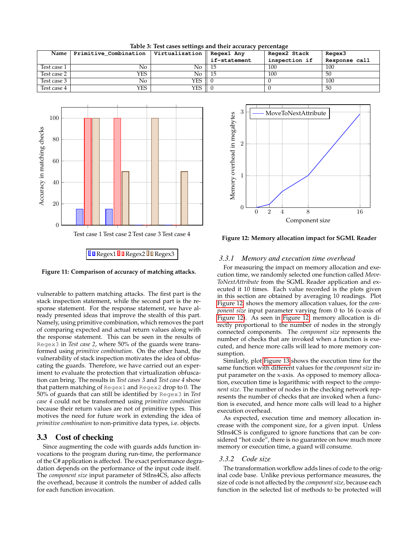| Name        | Primitive Combination | Virtualization    Regex1 Any |              | Regex2 Stack  | Regex3        |
|-------------|-----------------------|------------------------------|--------------|---------------|---------------|
|             |                       |                              | if-statement | inspection if | Response call |
| Test case 1 | No.                   | No    15                     |              | 100           | 100           |
| Test case 2 | YES                   | No    15                     |              | 100           | 50            |
| Test case 3 | No                    | $YES \parallel 0$            |              |               | 100           |
| Test case 4 | YES                   | $YES \mid 0$                 |              |               | 50            |

<span id="page-7-0"></span>**Table 3: Test cases settings and their accuracy percentage**



<span id="page-7-1"></span>**Figure 11: Comparison of accuracy of matching attacks.**

vulnerable to pattern matching attacks. The first part is the stack inspection statement, while the second part is the response statement. For the response statement, we have already presented ideas that improve the stealth of this part. Namely, using primitive combination, which removes the part of comparing expected and actual return values along with the response statement. This can be seen in the results of Regex3 in *Test case 2*, where 50% of the guards were transformed using *primitive combination*. On the other hand, the vulnerability of stack inspection motivates the idea of obfuscating the guards. Therefore, we have carried out an experiment to evaluate the protection that virtualization obfuscation can bring. The results in *Test cases 3* and *Test case 4* show that pattern matching of Regex1 and Regex2 drop to 0. The 50% of guards that can still be identified by Regex3 in *Test case 4* could not be transformed using *primitive combination* because their return values are not of primitive types. This motives the need for future work in extending the idea of *primitive combination* to non-primitive data types, i.e. objects.

# 3.3 Cost of checking

Since augmenting the code with guards adds function invocations to the program during run-time, the performance of the C# application is affected. The exact performance degradation depends on the performance of the input code itself. The *component size* input parameter of StIns4CS, also affects the overhead, because it controls the number of added calls for each function invocation.



<span id="page-7-2"></span>**Figure 12: Memory allocation impact for SGML Reader**

#### *3.3.1 Memory and execution time overhead*

For measuring the impact on memory allocation and execution time, we randomly selected one function called *Move-ToNextAttribute* from the SGML Reader application and executed it 10 times. Each value recorded is the plots given in this section are obtained by averaging 10 readings. Plot [Figure 12,](#page-7-2) shows the memory allocation values, for the *component size* input parameter varying from 0 to 16 (x-axis of [Figure 12\)](#page-7-2). As seen in [Figure 12,](#page-7-2) memory allocation is directly proportional to the number of nodes in the strongly connected components. The *component size* represents the number of checks that are invoked when a function is executed, and hence more calls will lead to more memory consumption.

Similarly, plot [Figure 13](#page-8-1) shows the execution time for the same function with different values for the *component size* input parameter on the x-axis. As opposed to memory allocation, execution time is logarithmic with respect to the *component size*. The number of nodes in the checking network represents the number of checks that are invoked when a function is executed, and hence more calls will lead to a higher execution overhead.

As expected, execution time and memory allocation increase with the component size, for a given input. Unless StIns4CS is configured to ignore functions that can be considered "hot code", there is no guarantee on how much more memory or execution time, a guard will consume.

## *3.3.2 Code size*

The transformation workflow adds lines of code to the original code base. Unlike previous performance measures, the size of code is not affected by the *component size*, because each function in the selected list of methods to be protected will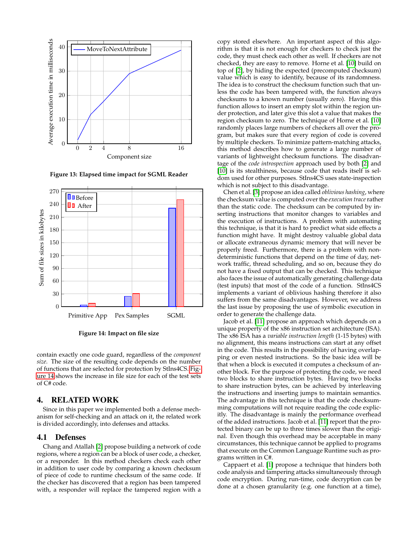

<span id="page-8-1"></span>**Figure 13: Elapsed time impact for SGML Reader**



<span id="page-8-2"></span>**Figure 14: Impact on file size**

contain exactly one code guard, regardless of the *component size*. The size of the resulting code depends on the number of functions that are selected for protection by StIns4CS. [Fig](#page-8-2)[ure 14](#page-8-2) shows the increase in file size for each of the test sets of C# code.

# <span id="page-8-0"></span>4. RELATED WORK

Since in this paper we implemented both a defense mechanism for self-checking and an attack on it, the related work is divided accordingly, into defenses and attacks.

# 4.1 Defenses

Chang and Atallah [\[2\]](#page-10-4) propose building a network of code regions, where a region can be a block of user code, a checker, or a responder. In this method checkers check each other in addition to user code by comparing a known checksum of piece of code to runtime checksum of the same code. If the checker has discovered that a region has been tampered with, a responder will replace the tampered region with a

copy stored elsewhere. An important aspect of this algorithm is that it is not enough for checkers to check just the code, they must check each other as well. If checkers are not checked, they are easy to remove. Horne et al. [\[10\]](#page-10-13) build on top of [\[2\]](#page-10-4), by hiding the expected (precomputed checksum) value which is easy to identify, because of its randomness. The idea is to construct the checksum function such that unless the code has been tampered with, the function always checksums to a known number (usually zero). Having this function allows to insert an empty slot within the region under protection, and later give this slot a value that makes the region checksum to zero. The technique of Horne et al. [\[10\]](#page-10-13) randomly places large numbers of checkers all over the program, but makes sure that every region of code is covered by multiple checkers. To minimize pattern-matching attacks, this method describes how to generate a large number of variants of lightweight checksum functions. The disadvantage of the *code introspection* approach used by both [\[2\]](#page-10-4) and [\[10\]](#page-10-13) is its stealthiness, because code that reads itself is seldom used for other purposes. StIns4CS uses state-inspection which is not subject to this disadvantage.

Chen et al. [\[3\]](#page-10-14) propose an idea called *oblivious hashing*, where the checksum value is computed over the *execution trace*rather than the static code. The checksum can be computed by inserting instructions that monitor changes to variables and the execution of instructions. A problem with automating this technique, is that it is hard to predict what side effects a function might have. It might destroy valuable global data or allocate extraneous dynamic memory that will never be properly freed. Furthermore, there is a problem with nondeterministic functions that depend on the time of day, network traffic, thread scheduling, and so on, because they do not have a fixed output that can be checked. This technique also faces the issue of automatically generating challenge data (test inputs) that most of the code of a function. StIns4CS implements a variant of oblivious hashing therefore it also suffers from the same disadvantages. However, we address the last issue by proposing the use of symbolic execution in order to generate the challenge data.

Jacob et al. [\[11\]](#page-10-15) propose an approach which depends on a unique property of the x86 instruction set architecture (ISA). The x86 ISA has a *variable instruction length* (1-15 bytes) with no alignment, this means instructions can start at any offset in the code. This results in the possibility of having overlapping or even nested instructions. So the basic idea will be that when a block is executed it computes a checksum of another block. For the purpose of protecting the code, we need two blocks to share instruction bytes. Having two blocks to share instruction bytes, can be achieved by interleaving the instructions and inserting jumps to maintain semantics. The advantage in this technique is that the code checksumming computations will not require reading the code explicitly. The disadvantage is mainly the performance overhead of the added instructions. Jacob et al. [\[11\]](#page-10-15) report that the protected binary can be up to three times slower than the original. Even though this overhead may be acceptable in many circumstances, this technique cannot be applied to programs that execute on the Common Language Runtime such as programs written in C#.

Cappaert et al. [\[1\]](#page-10-16) propose a technique that hinders both code analysis and tampering attacks simultaneously through code encryption. During run-time, code decryption can be done at a chosen granularity (e.g. one function at a time),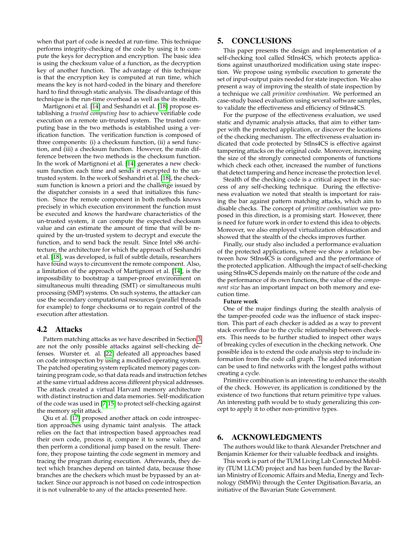when that part of code is needed at run-time. This technique performs integrity-checking of the code by using it to compute the keys for decryption and encryption. The basic idea is using the checksum value of a function, as the decryption key of another function. The advantage of this technique is that the encryption key is computed at run time, which means the key is not hard-coded in the binary and therefore hard to find through static analysis. The disadvantage of this technique is the run-time overhead as well as the its stealth.

Martignoni et al. [\[14\]](#page-10-17) and Seshandri et al. [\[18\]](#page-10-18) propose establishing a *trusted computing base* to achieve verifiable code execution on a remote un-trusted system. The trusted computing base in the two methods is established using a verification function. The verification function is composed of three components: (i) a checksum function, (ii) a send function, and (iii) a checksum function. However, the main difference between the two methods is the checksum function. In the work of Martignoni et al. [\[14\]](#page-10-17) generates a new checksum function each time and sends it encrypted to the untrusted system. In the work of Seshandri et al. [\[18\]](#page-10-18), the checksum function is known a priori and the challenge issued by the dispatcher consists in a seed that initializes this function. Since the remote component in both methods knows precisely in which execution environment the function must be executed and knows the hardware characteristics of the un-trusted system, it can compute the expected checksum value and can estimate the amount of time that will be required by the un-trusted system to decrypt and execute the function, and to send back the result. Since Intel x86 architecture, the architecture for which the approach of Seshandri et al. [\[18\]](#page-10-18), was developed, is full of subtle details, researchers have found ways to circumvent the remote component. Also, a limitation of the approach of Martignoni et al. [\[14\]](#page-10-17), is the impossibility to bootstrap a tamper-proof environment on simultaneous multi threading (SMT) or simultaneous multi processing (SMP) systems. On such systems, the attacker can use the secondary computational resources (parallel threads for example) to forge checksums or to regain control of the execution after attestation.

## 4.2 Attacks

Pattern matching attacks as we have described in Section [3](#page-4-0) are not the only possible attacks against self-checking defenses. Wurster et. al. [\[22\]](#page-10-19) defeated all approaches based on code introspection by using a modified operating system. The patched operating system replicated memory pages containing program code, so that data reads and instruction fetches at the same virtual address access different physical addresses. The attack created a virtual Harvard memory architecture with distinct instruction and data memories. Self-modification of the code was used in [\[7,](#page-10-20)[15\]](#page-10-21) to protect self-checking against the memory split attack.

Qiu et al. [\[17\]](#page-10-5) proposed another attack on code introspection approaches using dynamic taint analysis. The attack relies on the fact that introspection based approaches read their own code, process it, compare it to some value and then perform a conditional jump based on the result. Therefore, they propose tainting the code segment in memory and tracing the program during execution. Afterwards, they detect which branches depend on tainted data, because those branches are the checkers which must be bypassed by an attacker. Since our approach is not based on code introspection it is not vulnerable to any of the attacks presented here.

# <span id="page-9-0"></span>5. CONCLUSIONS

This paper presents the design and implementation of a self-checking tool called StIns4CS, which protects applications against unauthorized modification using state inspection. We propose using symbolic execution to generate the set of input-output pairs needed for state inspection. We also present a way of improving the stealth of state inspection by a technique we call *primitive combination*. We performed an case-study based evaluation using several software samples, to validate the effectiveness and efficiency of StIns4CS.

For the purpose of the effectiveness evaluation, we used static and dynamic analysis attacks, that aim to either tamper with the protected application, or discover the locations of the checking mechanism. The effectiveness evaluation indicated that code protected by StIns4CS is effective against tampering attacks on the original code. Moreover, increasing the size of the strongly connected components of functions which check each other, increased the number of functions that detect tampering and hence increase the protection level.

Stealth of the checking code is a critical aspect in the success of any self-checking technique. During the effectiveness evaluation we noted that stealth is important for raising the bar against pattern matching attacks, which aim to disable checks. The concept of *primitive combination* we proposed in this direction, is a promising start. However, there is need for future work in order to extend this idea to objects. Moreover, we also employed virtualization obfuscation and showed that the stealth of the checks improves further.

Finally, our study also included a performance evaluation of the protected applications, where we show a relation between how StIns4CS is configured and the performance of the protected application. Although the impact of self-checking using StIns4CS depends mainly on the nature of the code and the performance of its own functions, the value of the *component size* has an important impact on both memory and execution time.

#### **Future work**

One of the major findings during the stealth analysis of the tamper-proofed code was the influence of stack inspection. This part of each checker is added as a way to prevent stack overflow due to the cyclic relationship between checkers. This needs to be further studied to inspect other ways of breaking cycles of execution in the checking network. One possible idea is to extend the code analysis step to include information from the code call graph. The added information can be used to find networks with the longest paths without creating a cycle.

Primitive combination is an interesting to enhance the stealth of the check. However, its application is conditioned by the existence of two functions that return primitive type values. An interesting path would be to study generalizing this concept to apply it to other non-primitive types.

# 6. ACKNOWLEDGMENTS

The authors would like to thank Alexander Pretschner and Benjamin Kräemer for their valuable feedback and insights.

This work is part of the TUM Living Lab Connected Mobility (TUM LLCM) project and has been funded by the Bavarian Ministry of Economic Affairs and Media, Energy and Technology (StMWi) through the Center Digitisation.Bavaria, an initiative of the Bavarian State Government.